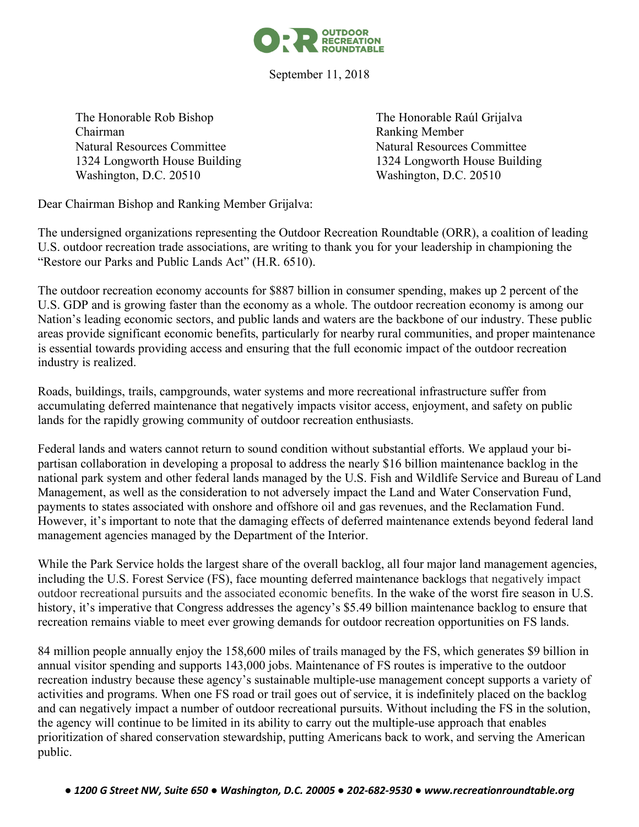

September 11, 2018

The Honorable Rob Bishop The Honorable Raúl Grijalva Chairman Ranking Member Natural Resources Committee Natural Resources Committee 1324 Longworth House Building 1324 Longworth House Building Washington, D.C. 20510 Washington, D.C. 20510

Dear Chairman Bishop and Ranking Member Grijalva:

The undersigned organizations representing the Outdoor Recreation Roundtable (ORR), a coalition of leading U.S. outdoor recreation trade associations, are writing to thank you for your leadership in championing the "Restore our Parks and Public Lands Act" (H.R. 6510).

The outdoor recreation economy accounts for \$887 billion in consumer spending, makes up 2 percent of the U.S. GDP and is growing faster than the economy as a whole. The outdoor recreation economy is among our Nation's leading economic sectors, and public lands and waters are the backbone of our industry. These public areas provide significant economic benefits, particularly for nearby rural communities, and proper maintenance is essential towards providing access and ensuring that the full economic impact of the outdoor recreation industry is realized.

Roads, buildings, trails, campgrounds, water systems and more recreational infrastructure suffer from accumulating deferred maintenance that negatively impacts visitor access, enjoyment, and safety on public lands for the rapidly growing community of outdoor recreation enthusiasts.

Federal lands and waters cannot return to sound condition without substantial efforts. We applaud your bipartisan collaboration in developing a proposal to address the nearly \$16 billion maintenance backlog in the national park system and other federal lands managed by the U.S. Fish and Wildlife Service and Bureau of Land Management, as well as the consideration to not adversely impact the Land and Water Conservation Fund, payments to states associated with onshore and offshore oil and gas revenues, and the Reclamation Fund. However, it's important to note that the damaging effects of deferred maintenance extends beyond federal land management agencies managed by the Department of the Interior.

While the Park Service holds the largest share of the overall backlog, all four major land management agencies, including the U.S. Forest Service (FS), face mounting deferred maintenance backlogs that negatively impact outdoor recreational pursuits and the associated economic benefits. In the wake of the worst fire season in U.S. history, it's imperative that Congress addresses the agency's \$5.49 billion maintenance backlog to ensure that recreation remains viable to meet ever growing demands for outdoor recreation opportunities on FS lands.

84 million people annually enjoy the 158,600 miles of trails managed by the FS, which generates \$9 billion in annual visitor spending and supports 143,000 jobs. Maintenance of FS routes is imperative to the outdoor recreation industry because these agency's sustainable multiple-use management concept supports a variety of activities and programs. When one FS road or trail goes out of service, it is indefinitely placed on the backlog and can negatively impact a number of outdoor recreational pursuits. Without including the FS in the solution, the agency will continue to be limited in its ability to carry out the multiple-use approach that enables prioritization of shared conservation stewardship, putting Americans back to work, and serving the American public.